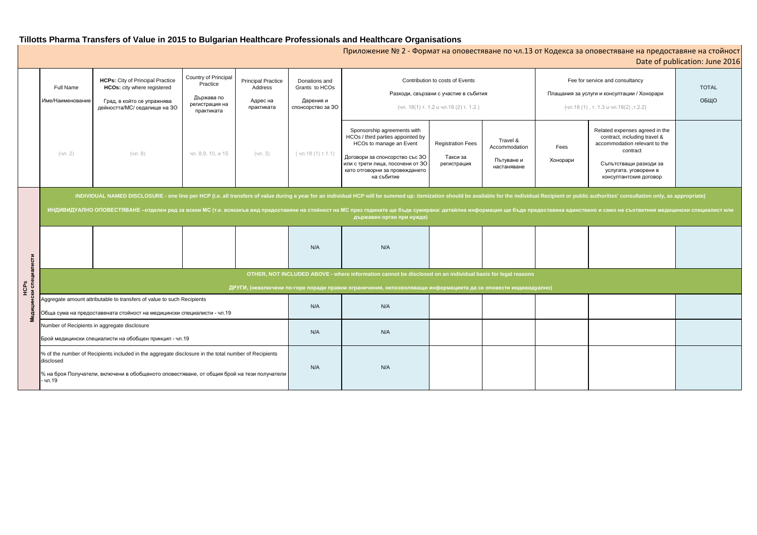# **Tillotts Pharma Transfers of Value in 2015 to Bulgarian Healthcare Professionals and Healthcare Organisations**

|                                                                                                                                       | Fee for service and consultancy<br>Плащания за услуги и консултации / Хонорари<br>(чл.18 (1), т. 1.3 и чл.18(2), т.2.2)                                                                  | <b>TOTAL</b><br>ОБЩО |  |  |  |  |  |  |
|---------------------------------------------------------------------------------------------------------------------------------------|------------------------------------------------------------------------------------------------------------------------------------------------------------------------------------------|----------------------|--|--|--|--|--|--|
| Fees<br>Хонорари                                                                                                                      | Related expenses agreed in the<br>contract, including travel &<br>accommodation relevant to the<br>contract<br>Съпътстващи разходи за<br>услугата, уговорени в<br>консултантския договор |                      |  |  |  |  |  |  |
| cipient or public authorities' consultation only, as appropriate)<br>гавена единствено и само на съответния медицински специалист или |                                                                                                                                                                                          |                      |  |  |  |  |  |  |
|                                                                                                                                       |                                                                                                                                                                                          |                      |  |  |  |  |  |  |
| o)                                                                                                                                    |                                                                                                                                                                                          |                      |  |  |  |  |  |  |
|                                                                                                                                       |                                                                                                                                                                                          |                      |  |  |  |  |  |  |
|                                                                                                                                       |                                                                                                                                                                                          |                      |  |  |  |  |  |  |
|                                                                                                                                       |                                                                                                                                                                                          |                      |  |  |  |  |  |  |

## Приложение № 2 - Формат на оповестяване по чл.13 от Кодекса за оповестяване на предоставяне на стойност Date of publication: June 2016

|             | <b>Full Name</b><br>Име/Наименование                                                                                                                                                                                                                                                                                                                                                                                                                                                          | <b>HCPs:</b> City of Principal Practice<br>HCOs: city where registered<br>Град, в който се упражнява<br>дейността/МС/ седалище на 30 | Country of Principal<br>Practice<br>Държава по<br>регистрация на<br>практиката | <b>Principal Practice</b><br>Address<br>Адрес на<br>практиката | Donations and<br>Grants to HCOs<br>Дарения и<br>спонсорство за 30 | Contribution to costs of Events<br>Разходи, свързани с участие в събития<br>(чл. 18(1) т. 1.2 и чл.18 (2) т. 1.2.)                                                                                                |                                                     | Fee for service and consultancy<br>Плащания за услуги и консултации / Хонорари<br>(чл.18 (1), т. 1.3 и чл.18(2), т.2.2) |                  | <b>TOTAL</b><br>ОБЩО                                                                                                                                                                     |  |
|-------------|-----------------------------------------------------------------------------------------------------------------------------------------------------------------------------------------------------------------------------------------------------------------------------------------------------------------------------------------------------------------------------------------------------------------------------------------------------------------------------------------------|--------------------------------------------------------------------------------------------------------------------------------------|--------------------------------------------------------------------------------|----------------------------------------------------------------|-------------------------------------------------------------------|-------------------------------------------------------------------------------------------------------------------------------------------------------------------------------------------------------------------|-----------------------------------------------------|-------------------------------------------------------------------------------------------------------------------------|------------------|------------------------------------------------------------------------------------------------------------------------------------------------------------------------------------------|--|
|             | (чл. 2)                                                                                                                                                                                                                                                                                                                                                                                                                                                                                       | (чл. 8)                                                                                                                              | чл. 8.9. 10. и 15                                                              | $(4\pi, 3)$                                                    | $(4\pi.18(1)\tau.1.1)$                                            | Sponsorship agreements with<br>HCOs / third parties appointed by<br>HCOs to manage an Event<br>Договори за спонсорство със 30<br>или с трети лица, посочени от 30<br>като отговорни за провеждането<br>на събитие | <b>Registration Fees</b><br>Такси за<br>регистрация | Travel &<br>Accommodation<br>Пътуване и<br>настаняване                                                                  | Fees<br>Хонорари | Related expenses agreed in the<br>contract, including travel &<br>accommodation relevant to the<br>contract<br>Съпътстващи разходи за<br>услугата, уговорени в<br>консултантския договор |  |
|             | INDIVIDUAL NAMED DISCLOSURE - one line per HCP (i.e. all transfers of value during a year for an individual HCP will be summed up: itemization should be available for the individual Recipient or public authorities' consult<br>ИНДИВИДУАЛНО ОПОВЕСТЯВАНЕ -отделен ред за всеки МС (т.е. всякакъв вид предоставяне на стойност на МС през годината ще бъде сумирана: детайлна информация ще бъде предоставена единствено и само на съответния медицински специ<br>държавен орган при нужда) |                                                                                                                                      |                                                                                |                                                                |                                                                   |                                                                                                                                                                                                                   |                                                     |                                                                                                                         |                  |                                                                                                                                                                                          |  |
|             |                                                                                                                                                                                                                                                                                                                                                                                                                                                                                               |                                                                                                                                      |                                                                                |                                                                | N/A                                                               | N/A                                                                                                                                                                                                               |                                                     |                                                                                                                         |                  |                                                                                                                                                                                          |  |
| специалисти | OTHER, NOT INCLUDED ABOVE - where information cannot be disclosed on an individual basis for legal reasons                                                                                                                                                                                                                                                                                                                                                                                    |                                                                                                                                      |                                                                                |                                                                |                                                                   |                                                                                                                                                                                                                   |                                                     |                                                                                                                         |                  |                                                                                                                                                                                          |  |
| HCPS<br>ΚN  | ДРУГИ, (невключени по-горе поради правни ограничения, непозволяващи информацията да се оповести индивидуално)                                                                                                                                                                                                                                                                                                                                                                                 |                                                                                                                                      |                                                                                |                                                                |                                                                   |                                                                                                                                                                                                                   |                                                     |                                                                                                                         |                  |                                                                                                                                                                                          |  |
| Ż.          | Aggregate amount attributable to transfers of value to such Recipients<br>Обща сума на предоставената стойност на медицински специалисти - чл.19                                                                                                                                                                                                                                                                                                                                              |                                                                                                                                      |                                                                                | N/A                                                            | N/A                                                               |                                                                                                                                                                                                                   |                                                     |                                                                                                                         |                  |                                                                                                                                                                                          |  |
|             | Number of Recipients in aggregate disclosure<br>Брой медицински специалисти на обобщен принцип - чл.19                                                                                                                                                                                                                                                                                                                                                                                        |                                                                                                                                      |                                                                                | N/A                                                            | N/A                                                               |                                                                                                                                                                                                                   |                                                     |                                                                                                                         |                  |                                                                                                                                                                                          |  |
|             | % of the number of Recipients included in the aggregate disclosure in the total number of Recipients<br>disclosed<br>% на броя Получатели, включени в обобщеното оповестяване, от общия брой на тези получатели                                                                                                                                                                                                                                                                               |                                                                                                                                      |                                                                                | N/A                                                            | N/A                                                               |                                                                                                                                                                                                                   |                                                     |                                                                                                                         |                  |                                                                                                                                                                                          |  |
|             | ∙чл.19                                                                                                                                                                                                                                                                                                                                                                                                                                                                                        |                                                                                                                                      |                                                                                |                                                                |                                                                   |                                                                                                                                                                                                                   |                                                     |                                                                                                                         |                  |                                                                                                                                                                                          |  |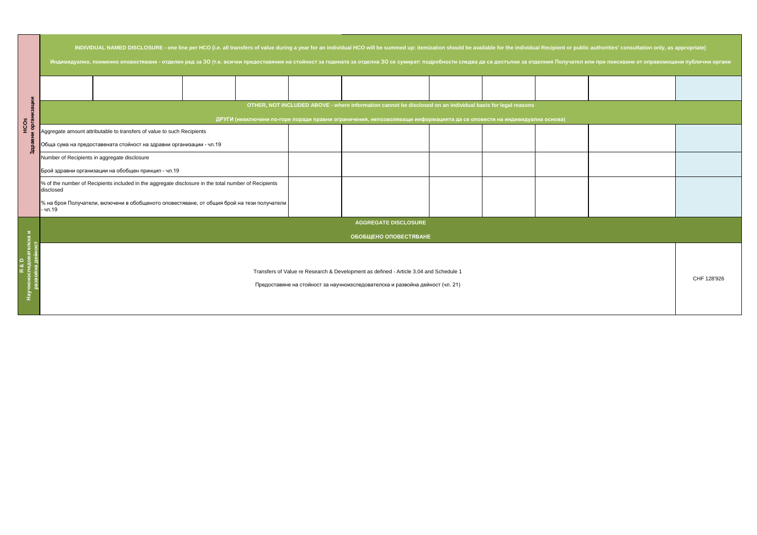| HCOs<br>и организации<br>3p <sub>i</sub> | INDIVIDUAL NAMED DISCLOSURE - one line per HCO (i.e. all transfers of value during a year for an individual HCO will be summed up: itemization should be available for the individual Recipient or public authorities' consult<br>Индивидуално, поименно оповестяване - отделен ред за 30 (т.е. всички предоставяния на стойност за годината за отделна 30 се сумират: подробности следва да са достъпни за отделния Получател или при поискване от оправомощени |  |  |  |  |  |  |  |  |  |
|------------------------------------------|------------------------------------------------------------------------------------------------------------------------------------------------------------------------------------------------------------------------------------------------------------------------------------------------------------------------------------------------------------------------------------------------------------------------------------------------------------------|--|--|--|--|--|--|--|--|--|
|                                          |                                                                                                                                                                                                                                                                                                                                                                                                                                                                  |  |  |  |  |  |  |  |  |  |
|                                          | OTHER, NOT INCLUDED ABOVE - where information cannot be disclosed on an individual basis for legal reasons<br>ДРУГИ (невключени по-горе поради правни ограничения, непозволяващи информацията да се оповести на индивидуална основа)                                                                                                                                                                                                                             |  |  |  |  |  |  |  |  |  |
|                                          | Aggregate amount attributable to transfers of value to such Recipients                                                                                                                                                                                                                                                                                                                                                                                           |  |  |  |  |  |  |  |  |  |
|                                          | Обща сума на предоставената стойност на здравни организации - чл.19                                                                                                                                                                                                                                                                                                                                                                                              |  |  |  |  |  |  |  |  |  |
|                                          | Number of Recipients in aggregate disclosure                                                                                                                                                                                                                                                                                                                                                                                                                     |  |  |  |  |  |  |  |  |  |
|                                          | Брой здравни организации на обобщен принцип - чл.19                                                                                                                                                                                                                                                                                                                                                                                                              |  |  |  |  |  |  |  |  |  |
|                                          | % of the number of Recipients included in the aggregate disclosure in the total number of Recipients<br>disclosed                                                                                                                                                                                                                                                                                                                                                |  |  |  |  |  |  |  |  |  |
|                                          | % на броя Получатели, включени в обобщеното оповестяване, от общия брой на тези получатели<br>- чл.19                                                                                                                                                                                                                                                                                                                                                            |  |  |  |  |  |  |  |  |  |
|                                          | <b>AGGREGATE DISCLOSURE</b>                                                                                                                                                                                                                                                                                                                                                                                                                                      |  |  |  |  |  |  |  |  |  |
| Σ.                                       | ОБОБЩЕНО ОПОВЕСТЯВАНЕ                                                                                                                                                                                                                                                                                                                                                                                                                                            |  |  |  |  |  |  |  |  |  |
|                                          | Transfers of Value re Research & Development as defined - Article 3.04 and Schedule 1<br>Предоставяне на стойност за научноизследователска и развойна дейност (чл. 21)                                                                                                                                                                                                                                                                                           |  |  |  |  |  |  |  |  |  |